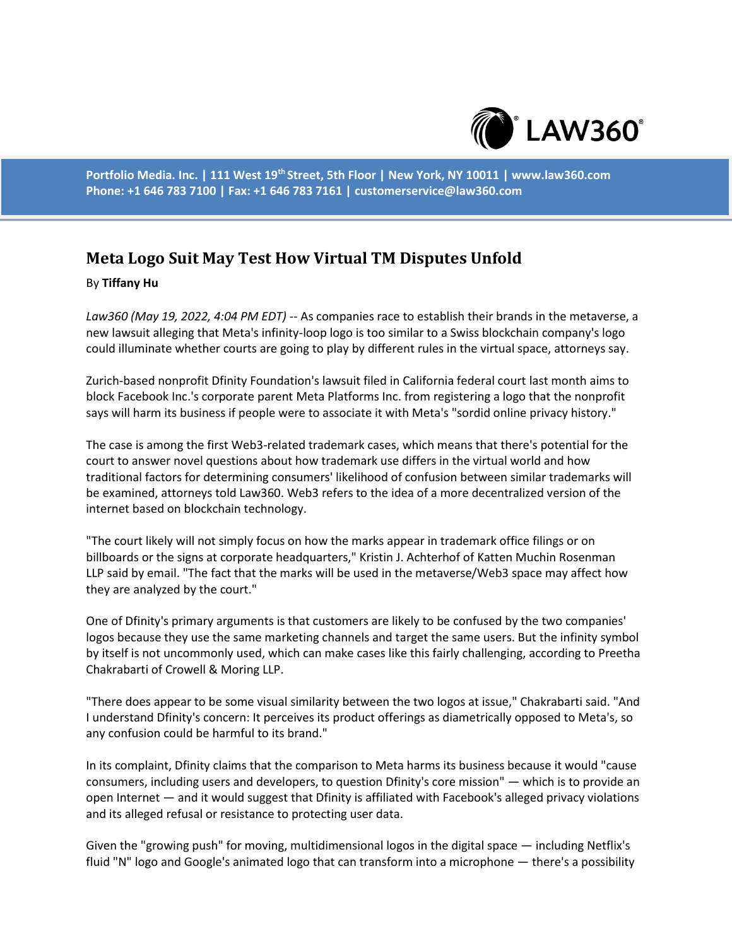

**Portfolio Media. Inc. | 111 West 19th Street, 5th Floor | New York, NY 10011 | www.law360.com Phone: +1 646 783 7100 | Fax: +1 646 783 7161 | customerservice@law360.com**

## **Meta Logo Suit May Test How Virtual TM Disputes Unfold**

## By **Tiffany Hu**

*Law360 (May 19, 2022, 4:04 PM EDT)* -- As companies race to establish their brands in the metaverse, a new lawsuit alleging that Meta's infinity-loop logo is too similar to a Swiss blockchain company's logo could illuminate whether courts are going to play by different rules in the virtual space, attorneys say.

Zurich-based nonprofit Dfinity Foundation's lawsuit filed in California federal court last month aims to block Facebook Inc.'s corporate parent Meta Platforms Inc. from registering a logo that the nonprofit says will harm its business if people were to associate it with Meta's "sordid online privacy history."

The case is among the first Web3-related trademark cases, which means that there's potential for the court to answer novel questions about how trademark use differs in the virtual world and how traditional factors for determining consumers' likelihood of confusion between similar trademarks will be examined, attorneys told Law360. Web3 refers to the idea of a more decentralized version of the internet based on blockchain technology.

"The court likely will not simply focus on how the marks appear in trademark office filings or on billboards or the signs at corporate headquarters," Kristin J. Achterhof of Katten Muchin Rosenman LLP said by email. "The fact that the marks will be used in the metaverse/Web3 space may affect how they are analyzed by the court."

One of Dfinity's primary arguments is that customers are likely to be confused by the two companies' logos because they use the same marketing channels and target the same users. But the infinity symbol by itself is not uncommonly used, which can make cases like this fairly challenging, according to Preetha Chakrabarti of Crowell & Moring LLP.

"There does appear to be some visual similarity between the two logos at issue," Chakrabarti said. "And I understand Dfinity's concern: It perceives its product offerings as diametrically opposed to Meta's, so any confusion could be harmful to its brand."

In its complaint, Dfinity claims that the comparison to Meta harms its business because it would "cause consumers, including users and developers, to question Dfinity's core mission" — which is to provide an open Internet — and it would suggest that Dfinity is affiliated with Facebook's alleged privacy violations and its alleged refusal or resistance to protecting user data.

Given the "growing push" for moving, multidimensional logos in the digital space — including Netflix's fluid "N" logo and Google's animated logo that can transform into a microphone — there's a possibility